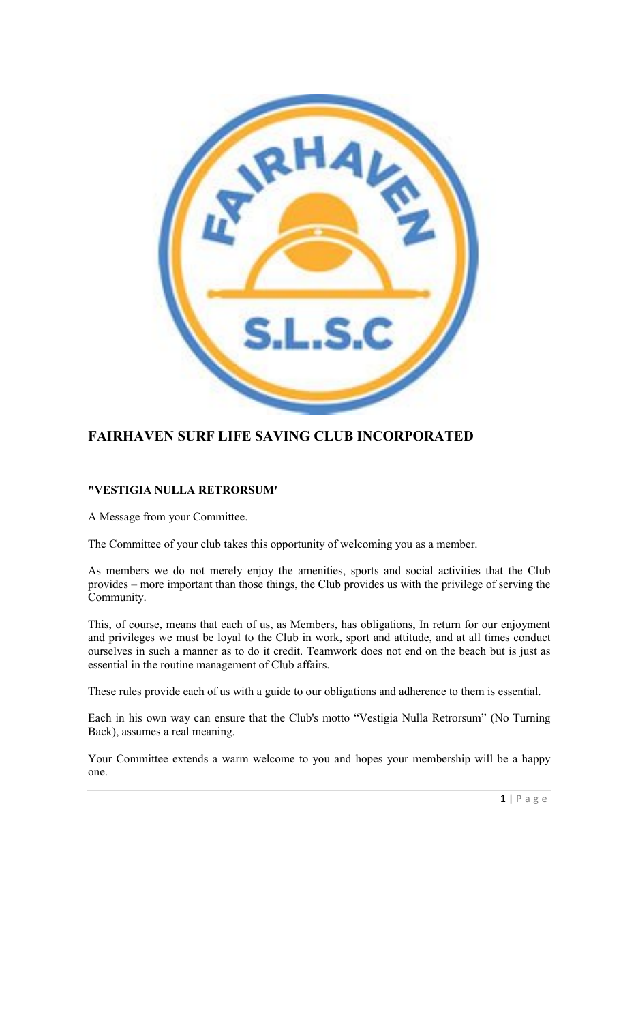

# FAIRHAVEN SURF LIFE SAVING CLUB INCORPORATED

## "VESTIGIA NULLA RETRORSUM'

A Message from your Committee.

The Committee of your club takes this opportunity of welcoming you as a member.

As members we do not merely enjoy the amenities, sports and social activities that the Club provides – more important than those things, the Club provides us with the privilege of serving the Community.

This, of course, means that each of us, as Members, has obligations, In return for our enjoyment and privileges we must be loyal to the Club in work, sport and attitude, and at all times conduct ourselves in such a manner as to do it credit. Teamwork does not end on the beach but is just as essential in the routine management of Club affairs.

These rules provide each of us with a guide to our obligations and adherence to them is essential.

Each in his own way can ensure that the Club's motto "Vestigia Nulla Retrorsum" (No Turning Back), assumes a real meaning.

Your Committee extends a warm welcome to you and hopes your membership will be a happy one.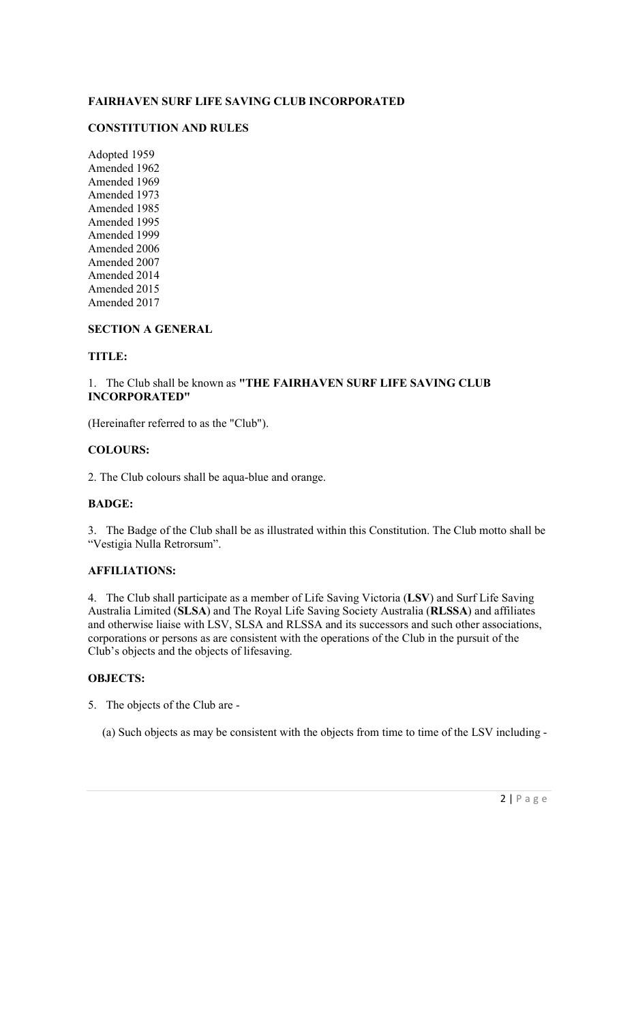## FAIRHAVEN SURF LIFE SAVING CLUB INCORPORATED

## CONSTITUTION AND RULES

Adopted 1959 Amended 1962 Amended 1969 Amended 1973 Amended 1985 Amended 1995 Amended 1999 Amended 2006 Amended 2007 Amended 2014 Amended 2015 Amended 2017

## SECTION A GENERAL

### TITLE:

1. The Club shall be known as "THE FAIRHAVEN SURF LIFE SAVING CLUB INCORPORATED"

(Hereinafter referred to as the "Club").

## COLOURS:

2. The Club colours shall be aqua-blue and orange.

### BADGE:

3. The Badge of the Club shall be as illustrated within this Constitution. The Club motto shall be "Vestigia Nulla Retrorsum".

## AFFILIATIONS:

4. The Club shall participate as a member of Life Saving Victoria (LSV) and Surf Life Saving Australia Limited (SLSA) and The Royal Life Saving Society Australia (RLSSA) and affiliates and otherwise liaise with LSV, SLSA and RLSSA and its successors and such other associations, corporations or persons as are consistent with the operations of the Club in the pursuit of the Club's objects and the objects of lifesaving.

## OBJECTS:

- 5. The objects of the Club are
	- (a) Such objects as may be consistent with the objects from time to time of the LSV including -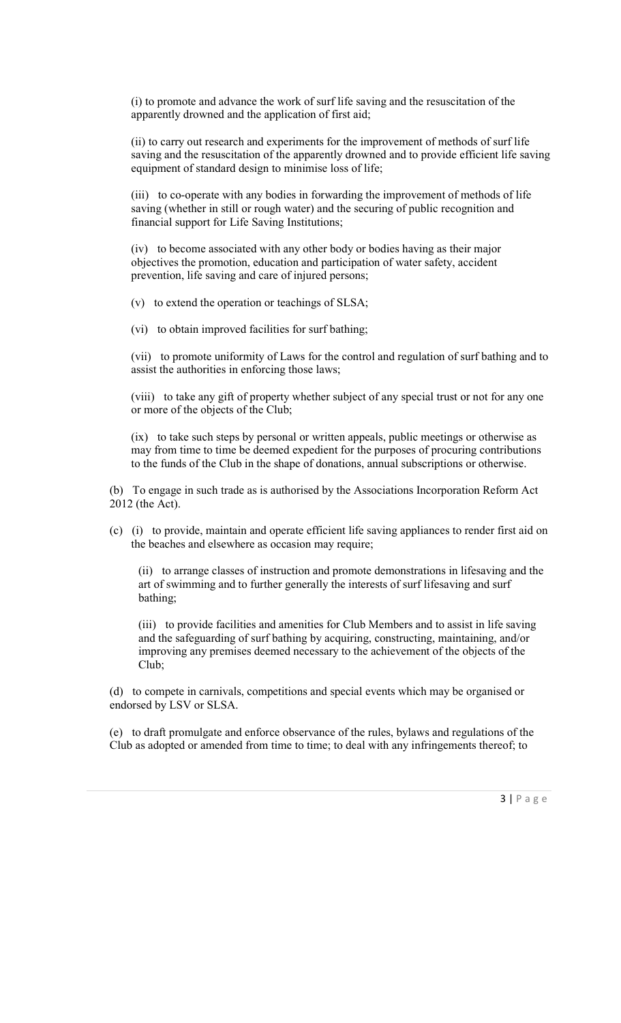(i) to promote and advance the work of surf life saving and the resuscitation of the apparently drowned and the application of first aid;

(ii) to carry out research and experiments for the improvement of methods of surf life saving and the resuscitation of the apparently drowned and to provide efficient life saving equipment of standard design to minimise loss of life;

(iii) to co-operate with any bodies in forwarding the improvement of methods of life saving (whether in still or rough water) and the securing of public recognition and financial support for Life Saving Institutions;

(iv) to become associated with any other body or bodies having as their major objectives the promotion, education and participation of water safety, accident prevention, life saving and care of injured persons;

(v) to extend the operation or teachings of SLSA;

(vi) to obtain improved facilities for surf bathing;

(vii) to promote uniformity of Laws for the control and regulation of surf bathing and to assist the authorities in enforcing those laws;

(viii) to take any gift of property whether subject of any special trust or not for any one or more of the objects of the Club;

(ix) to take such steps by personal or written appeals, public meetings or otherwise as may from time to time be deemed expedient for the purposes of procuring contributions to the funds of the Club in the shape of donations, annual subscriptions or otherwise.

(b) To engage in such trade as is authorised by the Associations Incorporation Reform Act 2012 (the Act).

(c) (i) to provide, maintain and operate efficient life saving appliances to render first aid on the beaches and elsewhere as occasion may require;

(ii) to arrange classes of instruction and promote demonstrations in lifesaving and the art of swimming and to further generally the interests of surf lifesaving and surf bathing;

(iii) to provide facilities and amenities for Club Members and to assist in life saving and the safeguarding of surf bathing by acquiring, constructing, maintaining, and/or improving any premises deemed necessary to the achievement of the objects of the Club;

(d) to compete in carnivals, competitions and special events which may be organised or endorsed by LSV or SLSA.

(e) to draft promulgate and enforce observance of the rules, bylaws and regulations of the Club as adopted or amended from time to time; to deal with any infringements thereof; to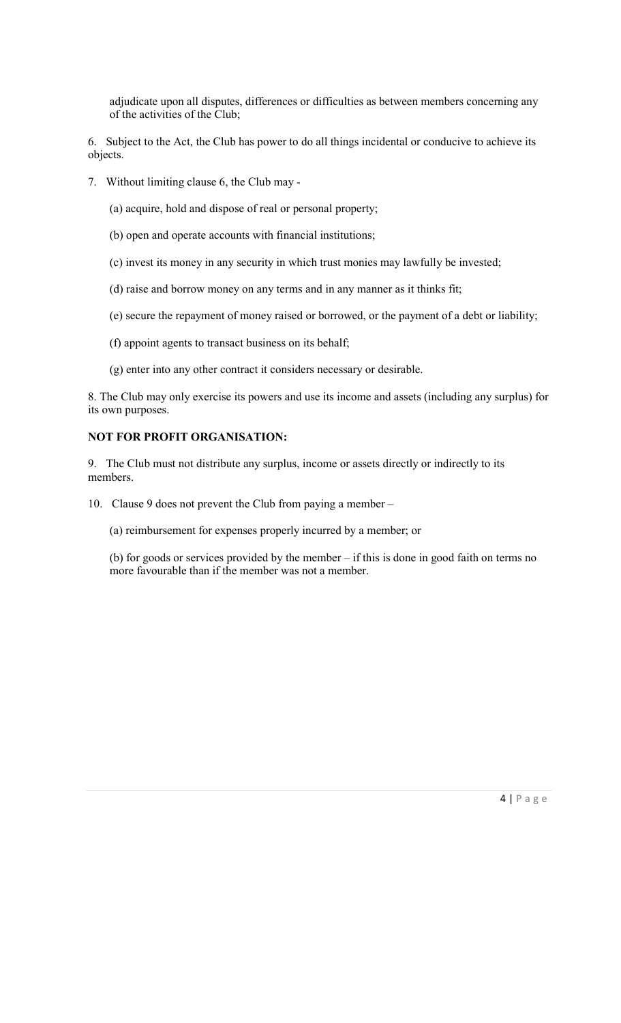adjudicate upon all disputes, differences or difficulties as between members concerning any of the activities of the Club;

6. Subject to the Act, the Club has power to do all things incidental or conducive to achieve its objects.

- 7. Without limiting clause 6, the Club may
	- (a) acquire, hold and dispose of real or personal property;
	- (b) open and operate accounts with financial institutions;
	- (c) invest its money in any security in which trust monies may lawfully be invested;
	- (d) raise and borrow money on any terms and in any manner as it thinks fit;
	- (e) secure the repayment of money raised or borrowed, or the payment of a debt or liability;
	- (f) appoint agents to transact business on its behalf;
	- (g) enter into any other contract it considers necessary or desirable.

8. The Club may only exercise its powers and use its income and assets (including any surplus) for its own purposes.

## NOT FOR PROFIT ORGANISATION:

9. The Club must not distribute any surplus, income or assets directly or indirectly to its members.

- 10. Clause 9 does not prevent the Club from paying a member
	- (a) reimbursement for expenses properly incurred by a member; or

(b) for goods or services provided by the member – if this is done in good faith on terms no more favourable than if the member was not a member.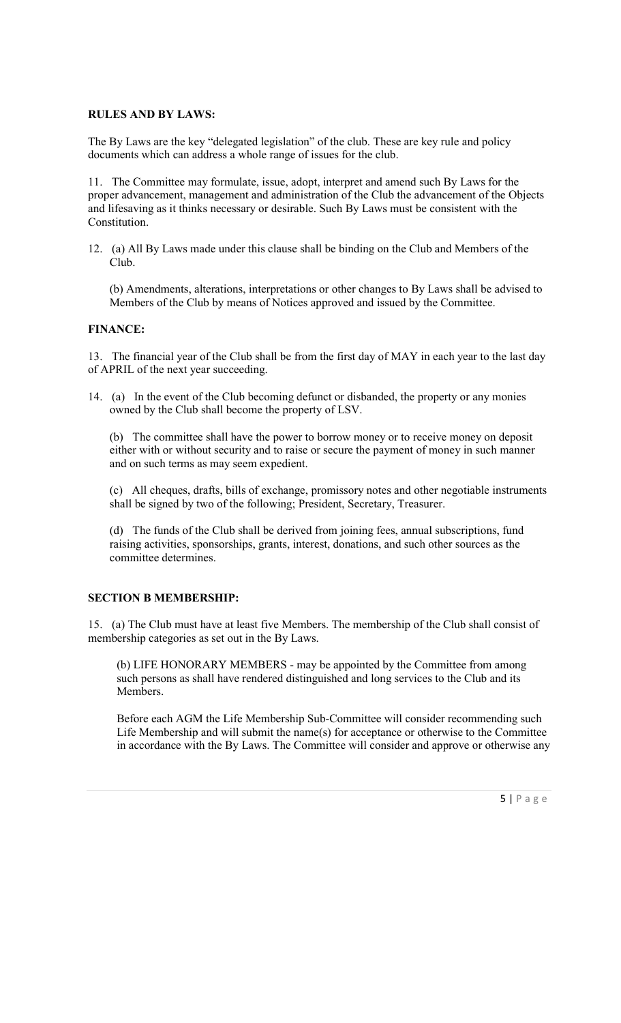#### RULES AND BY LAWS:

The By Laws are the key "delegated legislation" of the club. These are key rule and policy documents which can address a whole range of issues for the club.

11. The Committee may formulate, issue, adopt, interpret and amend such By Laws for the proper advancement, management and administration of the Club the advancement of the Objects and lifesaving as it thinks necessary or desirable. Such By Laws must be consistent with the Constitution.

12. (a) All By Laws made under this clause shall be binding on the Club and Members of the Club.

(b) Amendments, alterations, interpretations or other changes to By Laws shall be advised to Members of the Club by means of Notices approved and issued by the Committee.

### FINANCE:

13. The financial year of the Club shall be from the first day of MAY in each year to the last day of APRIL of the next year succeeding.

14. (a) In the event of the Club becoming defunct or disbanded, the property or any monies owned by the Club shall become the property of LSV.

(b) The committee shall have the power to borrow money or to receive money on deposit either with or without security and to raise or secure the payment of money in such manner and on such terms as may seem expedient.

(c) All cheques, drafts, bills of exchange, promissory notes and other negotiable instruments shall be signed by two of the following; President, Secretary, Treasurer.

(d) The funds of the Club shall be derived from joining fees, annual subscriptions, fund raising activities, sponsorships, grants, interest, donations, and such other sources as the committee determines.

#### SECTION B MEMBERSHIP:

15. (a) The Club must have at least five Members. The membership of the Club shall consist of membership categories as set out in the By Laws.

(b) LIFE HONORARY MEMBERS - may be appointed by the Committee from among such persons as shall have rendered distinguished and long services to the Club and its Members.

Before each AGM the Life Membership Sub-Committee will consider recommending such Life Membership and will submit the name(s) for acceptance or otherwise to the Committee in accordance with the By Laws. The Committee will consider and approve or otherwise any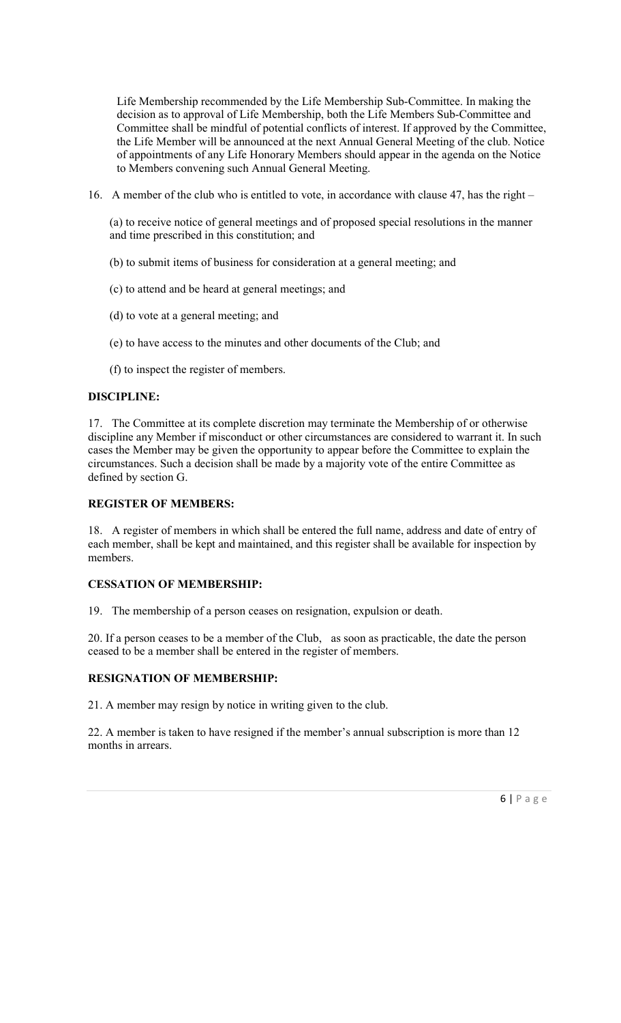Life Membership recommended by the Life Membership Sub-Committee. In making the decision as to approval of Life Membership, both the Life Members Sub-Committee and Committee shall be mindful of potential conflicts of interest. If approved by the Committee, the Life Member will be announced at the next Annual General Meeting of the club. Notice of appointments of any Life Honorary Members should appear in the agenda on the Notice to Members convening such Annual General Meeting.

16. A member of the club who is entitled to vote, in accordance with clause 47, has the right –

(a) to receive notice of general meetings and of proposed special resolutions in the manner and time prescribed in this constitution; and

- (b) to submit items of business for consideration at a general meeting; and
- (c) to attend and be heard at general meetings; and
- (d) to vote at a general meeting; and
- (e) to have access to the minutes and other documents of the Club; and
- (f) to inspect the register of members.

### DISCIPLINE:

17. The Committee at its complete discretion may terminate the Membership of or otherwise discipline any Member if misconduct or other circumstances are considered to warrant it. In such cases the Member may be given the opportunity to appear before the Committee to explain the circumstances. Such a decision shall be made by a majority vote of the entire Committee as defined by section G.

#### REGISTER OF MEMBERS:

18. A register of members in which shall be entered the full name, address and date of entry of each member, shall be kept and maintained, and this register shall be available for inspection by members.

#### CESSATION OF MEMBERSHIP:

19. The membership of a person ceases on resignation, expulsion or death.

20. If a person ceases to be a member of the Club, as soon as practicable, the date the person ceased to be a member shall be entered in the register of members.

#### RESIGNATION OF MEMBERSHIP:

21. A member may resign by notice in writing given to the club.

22. A member is taken to have resigned if the member's annual subscription is more than 12 months in arrears.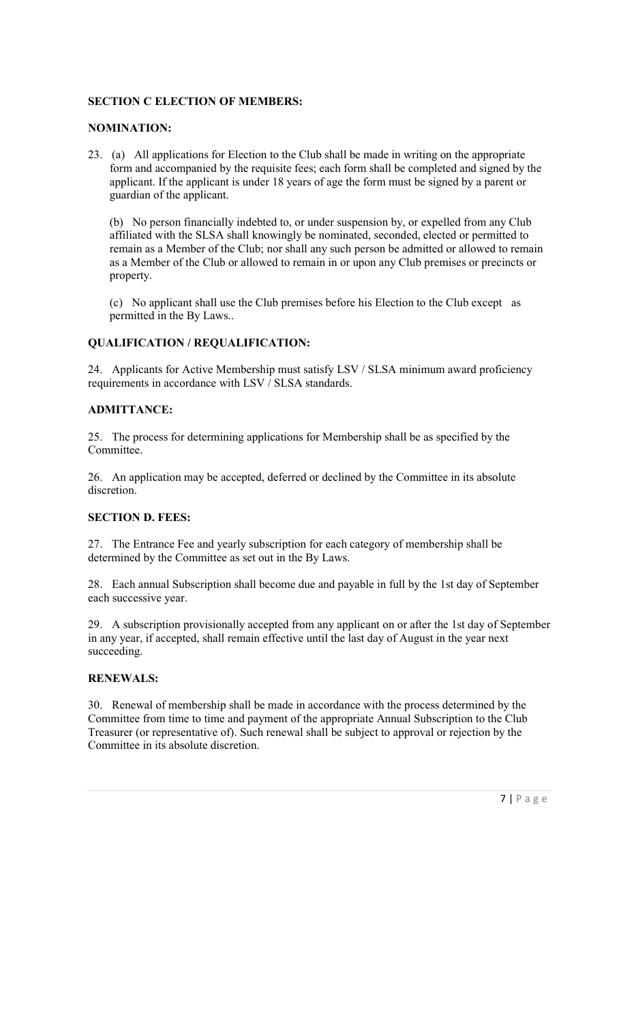## SECTION C ELECTION OF MEMBERS:

## NOMINATION:

23. (a) All applications for Election to the Club shall be made in writing on the appropriate form and accompanied by the requisite fees; each form shall be completed and signed by the applicant. If the applicant is under 18 years of age the form must be signed by a parent or guardian of the applicant.

(b) No person financially indebted to, or under suspension by, or expelled from any Club affiliated with the SLSA shall knowingly be nominated, seconded, elected or permitted to remain as a Member of the Club; nor shall any such person be admitted or allowed to remain as a Member of the Club or allowed to remain in or upon any Club premises or precincts or property.

(c) No applicant shall use the Club premises before his Election to the Club except as permitted in the By Laws..

### QUALIFICATION / REQUALIFICATION:

24. Applicants for Active Membership must satisfy LSV / SLSA minimum award proficiency requirements in accordance with LSV / SLSA standards.

### ADMITTANCE:

25. The process for determining applications for Membership shall be as specified by the Committee.

26. An application may be accepted, deferred or declined by the Committee in its absolute discretion.

## SECTION D. FEES:

27. The Entrance Fee and yearly subscription for each category of membership shall be determined by the Committee as set out in the By Laws.

28. Each annual Subscription shall become due and payable in full by the 1st day of September each successive year.

29. A subscription provisionally accepted from any applicant on or after the 1st day of September in any year, if accepted, shall remain effective until the last day of August in the year next succeeding.

## RENEWALS:

30. Renewal of membership shall be made in accordance with the process determined by the Committee from time to time and payment of the appropriate Annual Subscription to the Club Treasurer (or representative of). Such renewal shall be subject to approval or rejection by the Committee in its absolute discretion.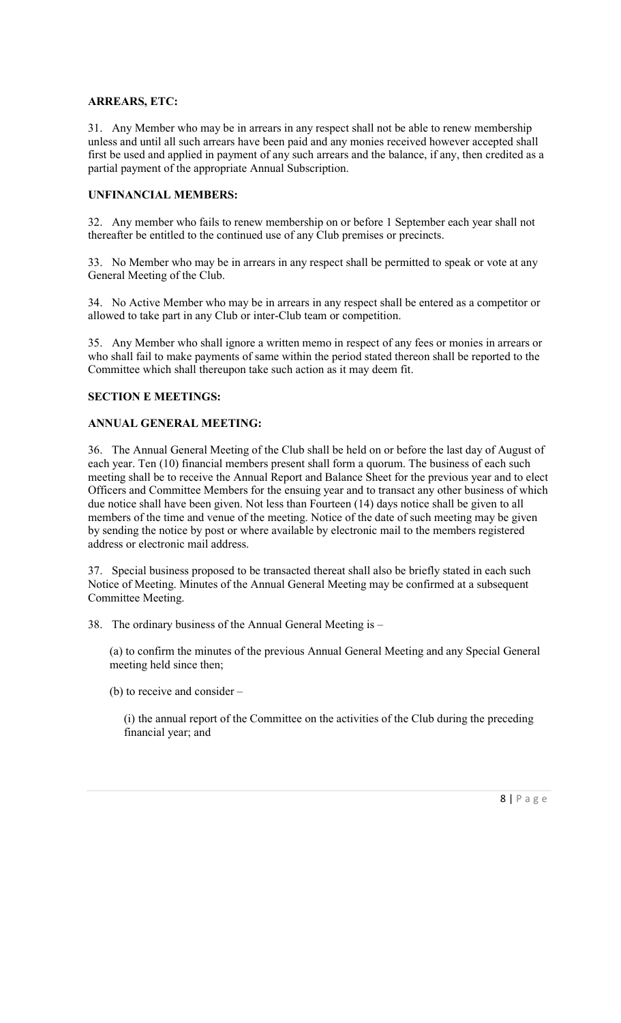#### ARREARS, ETC:

31. Any Member who may be in arrears in any respect shall not be able to renew membership unless and until all such arrears have been paid and any monies received however accepted shall first be used and applied in payment of any such arrears and the balance, if any, then credited as a partial payment of the appropriate Annual Subscription.

## UNFINANCIAL MEMBERS:

32. Any member who fails to renew membership on or before 1 September each year shall not thereafter be entitled to the continued use of any Club premises or precincts.

33. No Member who may be in arrears in any respect shall be permitted to speak or vote at any General Meeting of the Club.

34. No Active Member who may be in arrears in any respect shall be entered as a competitor or allowed to take part in any Club or inter-Club team or competition.

35. Any Member who shall ignore a written memo in respect of any fees or monies in arrears or who shall fail to make payments of same within the period stated thereon shall be reported to the Committee which shall thereupon take such action as it may deem fit.

## SECTION E MEETINGS:

## ANNUAL GENERAL MEETING:

36. The Annual General Meeting of the Club shall be held on or before the last day of August of each year. Ten (10) financial members present shall form a quorum. The business of each such meeting shall be to receive the Annual Report and Balance Sheet for the previous year and to elect Officers and Committee Members for the ensuing year and to transact any other business of which due notice shall have been given. Not less than Fourteen (14) days notice shall be given to all members of the time and venue of the meeting. Notice of the date of such meeting may be given by sending the notice by post or where available by electronic mail to the members registered address or electronic mail address.

37. Special business proposed to be transacted thereat shall also be briefly stated in each such Notice of Meeting. Minutes of the Annual General Meeting may be confirmed at a subsequent Committee Meeting.

38. The ordinary business of the Annual General Meeting is –

(a) to confirm the minutes of the previous Annual General Meeting and any Special General meeting held since then;

(b) to receive and consider –

(i) the annual report of the Committee on the activities of the Club during the preceding financial year; and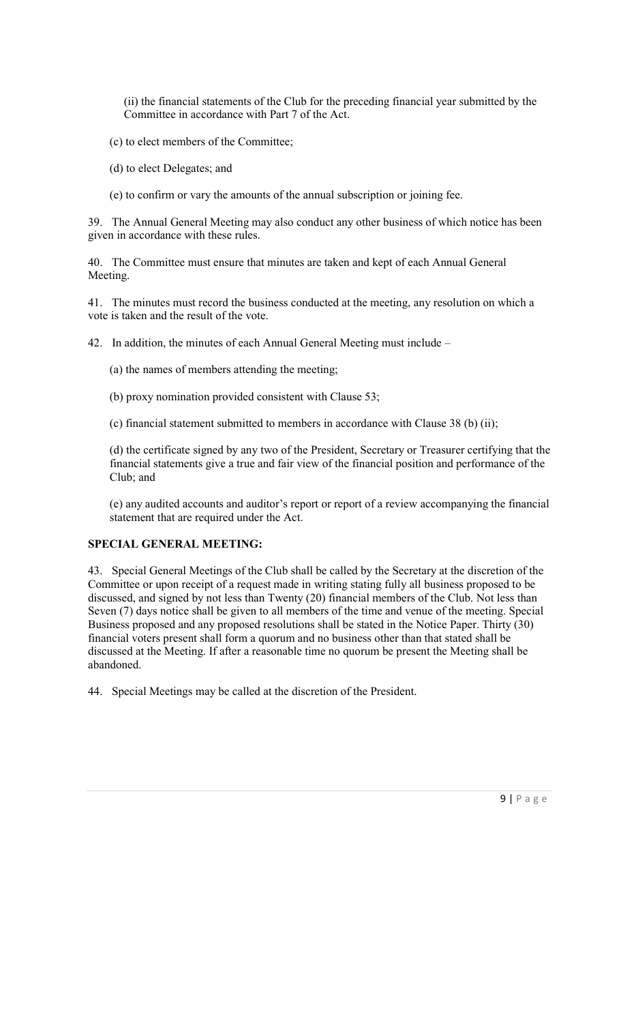(ii) the financial statements of the Club for the preceding financial year submitted by the Committee in accordance with Part 7 of the Act.

- (c) to elect members of the Committee;
- (d) to elect Delegates; and
- (e) to confirm or vary the amounts of the annual subscription or joining fee.

39. The Annual General Meeting may also conduct any other business of which notice has been given in accordance with these rules.

40. The Committee must ensure that minutes are taken and kept of each Annual General Meeting.

41. The minutes must record the business conducted at the meeting, any resolution on which a vote is taken and the result of the vote.

42. In addition, the minutes of each Annual General Meeting must include –

- (a) the names of members attending the meeting;
- (b) proxy nomination provided consistent with Clause 53;
- (c) financial statement submitted to members in accordance with Clause 38 (b) (ii);

(d) the certificate signed by any two of the President, Secretary or Treasurer certifying that the financial statements give a true and fair view of the financial position and performance of the Club; and

(e) any audited accounts and auditor's report or report of a review accompanying the financial statement that are required under the Act.

## SPECIAL GENERAL MEETING:

43. Special General Meetings of the Club shall be called by the Secretary at the discretion of the Committee or upon receipt of a request made in writing stating fully all business proposed to be discussed, and signed by not less than Twenty (20) financial members of the Club. Not less than Seven (7) days notice shall be given to all members of the time and venue of the meeting. Special Business proposed and any proposed resolutions shall be stated in the Notice Paper. Thirty (30) financial voters present shall form a quorum and no business other than that stated shall be discussed at the Meeting. If after a reasonable time no quorum be present the Meeting shall be abandoned.

44. Special Meetings may be called at the discretion of the President.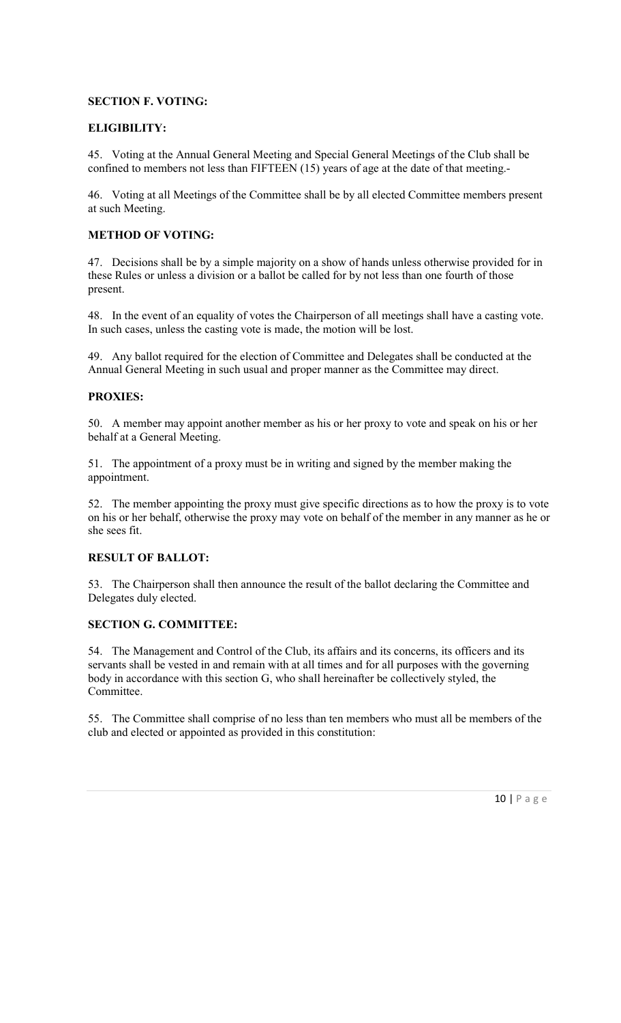## SECTION F. VOTING:

## ELIGIBILITY:

45. Voting at the Annual General Meeting and Special General Meetings of the Club shall be confined to members not less than FIFTEEN (15) years of age at the date of that meeting.-

46. Voting at all Meetings of the Committee shall be by all elected Committee members present at such Meeting.

### METHOD OF VOTING:

47. Decisions shall be by a simple majority on a show of hands unless otherwise provided for in these Rules or unless a division or a ballot be called for by not less than one fourth of those present.

48. In the event of an equality of votes the Chairperson of all meetings shall have a casting vote. In such cases, unless the casting vote is made, the motion will be lost.

49. Any ballot required for the election of Committee and Delegates shall be conducted at the Annual General Meeting in such usual and proper manner as the Committee may direct.

## PROXIES:

50. A member may appoint another member as his or her proxy to vote and speak on his or her behalf at a General Meeting.

51. The appointment of a proxy must be in writing and signed by the member making the appointment.

52. The member appointing the proxy must give specific directions as to how the proxy is to vote on his or her behalf, otherwise the proxy may vote on behalf of the member in any manner as he or she sees fit.

## RESULT OF BALLOT:

53. The Chairperson shall then announce the result of the ballot declaring the Committee and Delegates duly elected.

## SECTION G. COMMITTEE:

54. The Management and Control of the Club, its affairs and its concerns, its officers and its servants shall be vested in and remain with at all times and for all purposes with the governing body in accordance with this section G, who shall hereinafter be collectively styled, the Committee.

55. The Committee shall comprise of no less than ten members who must all be members of the club and elected or appointed as provided in this constitution: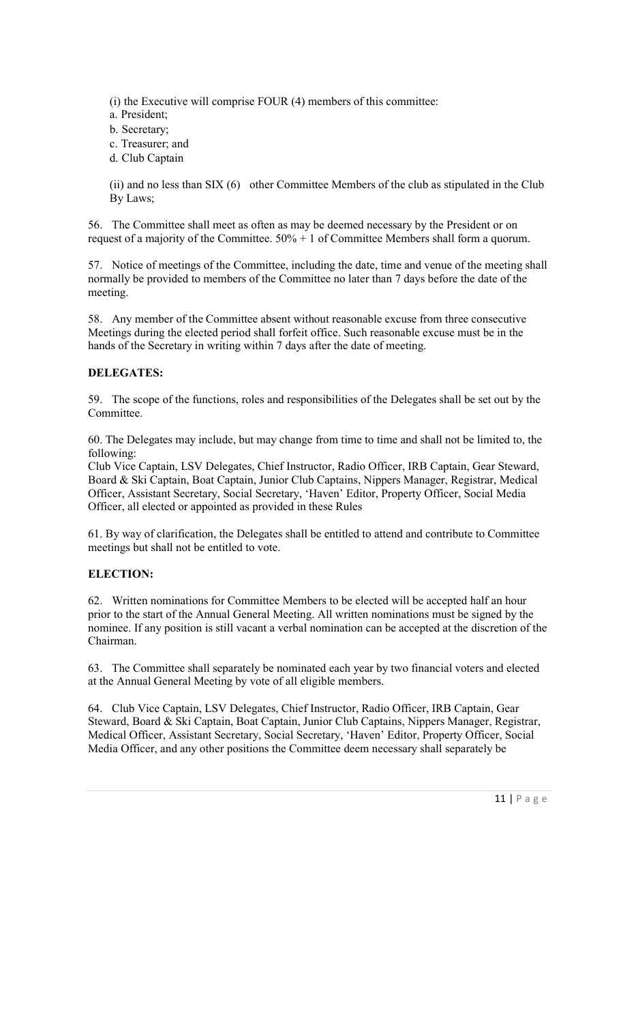(i) the Executive will comprise FOUR (4) members of this committee:

- a. President;
- b. Secretary;
- c. Treasurer; and
- d. Club Captain

(ii) and no less than SIX (6) other Committee Members of the club as stipulated in the Club By Laws;

56. The Committee shall meet as often as may be deemed necessary by the President or on request of a majority of the Committee.  $50\% + 1$  of Committee Members shall form a quorum.

57. Notice of meetings of the Committee, including the date, time and venue of the meeting shall normally be provided to members of the Committee no later than 7 days before the date of the meeting.

58. Any member of the Committee absent without reasonable excuse from three consecutive Meetings during the elected period shall forfeit office. Such reasonable excuse must be in the hands of the Secretary in writing within 7 days after the date of meeting.

## DELEGATES:

59. The scope of the functions, roles and responsibilities of the Delegates shall be set out by the Committee.

60. The Delegates may include, but may change from time to time and shall not be limited to, the following:

Club Vice Captain, LSV Delegates, Chief Instructor, Radio Officer, IRB Captain, Gear Steward, Board & Ski Captain, Boat Captain, Junior Club Captains, Nippers Manager, Registrar, Medical Officer, Assistant Secretary, Social Secretary, 'Haven' Editor, Property Officer, Social Media Officer, all elected or appointed as provided in these Rules

61. By way of clarification, the Delegates shall be entitled to attend and contribute to Committee meetings but shall not be entitled to vote.

## ELECTION:

62. Written nominations for Committee Members to be elected will be accepted half an hour prior to the start of the Annual General Meeting. All written nominations must be signed by the nominee. If any position is still vacant a verbal nomination can be accepted at the discretion of the Chairman.

63. The Committee shall separately be nominated each year by two financial voters and elected at the Annual General Meeting by vote of all eligible members.

64. Club Vice Captain, LSV Delegates, Chief Instructor, Radio Officer, IRB Captain, Gear Steward, Board & Ski Captain, Boat Captain, Junior Club Captains, Nippers Manager, Registrar, Medical Officer, Assistant Secretary, Social Secretary, 'Haven' Editor, Property Officer, Social Media Officer, and any other positions the Committee deem necessary shall separately be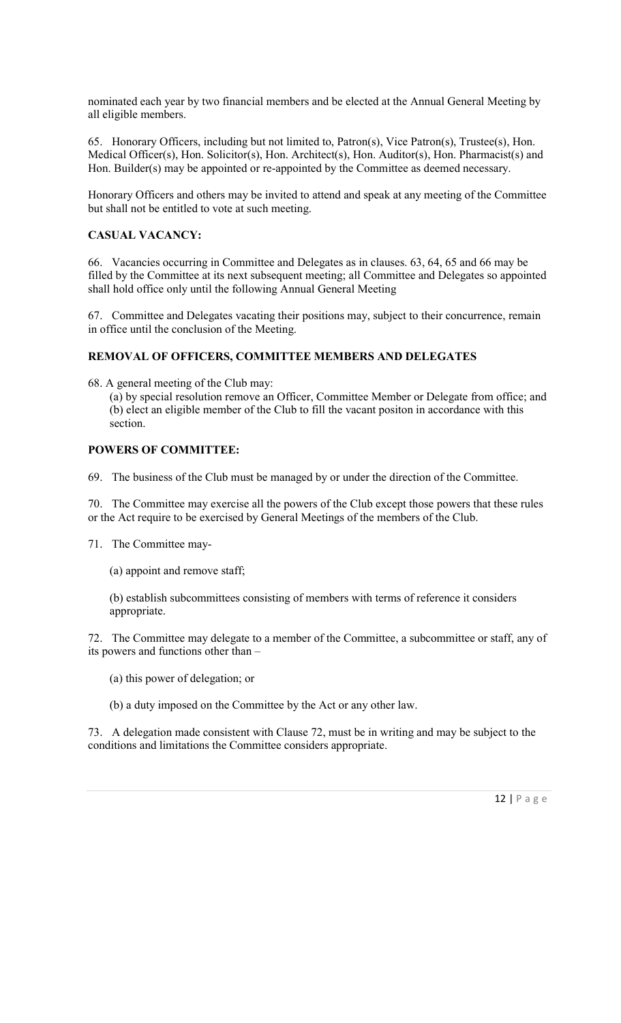nominated each year by two financial members and be elected at the Annual General Meeting by all eligible members.

65. Honorary Officers, including but not limited to, Patron(s), Vice Patron(s), Trustee(s), Hon. Medical Officer(s), Hon. Solicitor(s), Hon. Architect(s), Hon. Auditor(s), Hon. Pharmacist(s) and Hon. Builder(s) may be appointed or re-appointed by the Committee as deemed necessary.

Honorary Officers and others may be invited to attend and speak at any meeting of the Committee but shall not be entitled to vote at such meeting.

## CASUAL VACANCY:

66. Vacancies occurring in Committee and Delegates as in clauses. 63, 64, 65 and 66 may be filled by the Committee at its next subsequent meeting; all Committee and Delegates so appointed shall hold office only until the following Annual General Meeting

67. Committee and Delegates vacating their positions may, subject to their concurrence, remain in office until the conclusion of the Meeting.

### REMOVAL OF OFFICERS, COMMITTEE MEMBERS AND DELEGATES

68. A general meeting of the Club may:

(a) by special resolution remove an Officer, Committee Member or Delegate from office; and (b) elect an eligible member of the Club to fill the vacant positon in accordance with this section.

### POWERS OF COMMITTEE:

69. The business of the Club must be managed by or under the direction of the Committee.

70. The Committee may exercise all the powers of the Club except those powers that these rules or the Act require to be exercised by General Meetings of the members of the Club.

71. The Committee may-

(a) appoint and remove staff;

(b) establish subcommittees consisting of members with terms of reference it considers appropriate.

72. The Committee may delegate to a member of the Committee, a subcommittee or staff, any of its powers and functions other than –

(a) this power of delegation; or

(b) a duty imposed on the Committee by the Act or any other law.

73. A delegation made consistent with Clause 72, must be in writing and may be subject to the conditions and limitations the Committee considers appropriate.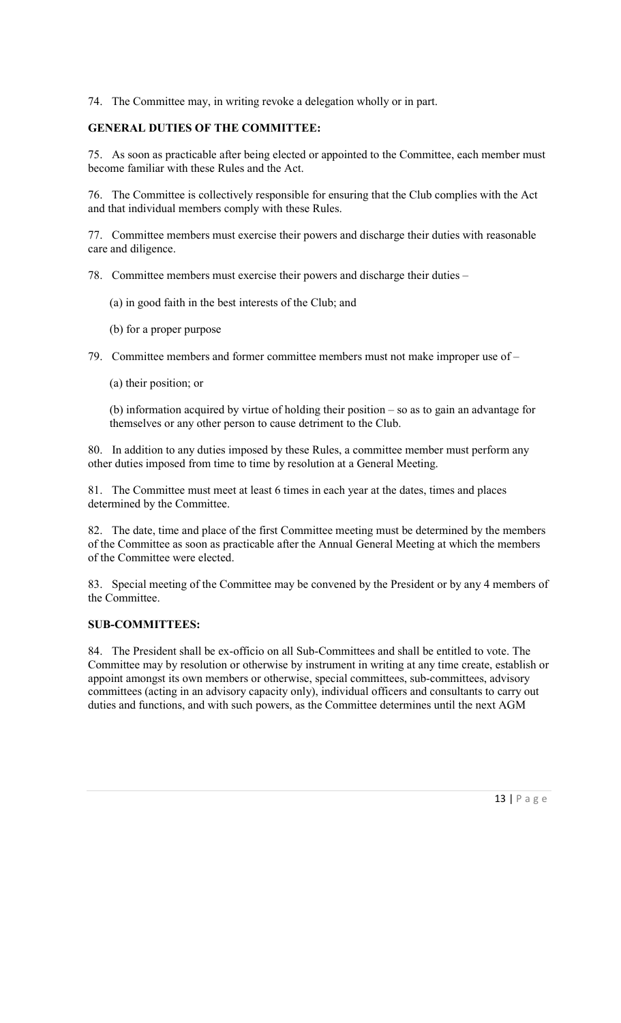74. The Committee may, in writing revoke a delegation wholly or in part.

## GENERAL DUTIES OF THE COMMITTEE:

75. As soon as practicable after being elected or appointed to the Committee, each member must become familiar with these Rules and the Act.

76. The Committee is collectively responsible for ensuring that the Club complies with the Act and that individual members comply with these Rules.

77. Committee members must exercise their powers and discharge their duties with reasonable care and diligence.

78. Committee members must exercise their powers and discharge their duties –

- (a) in good faith in the best interests of the Club; and
- (b) for a proper purpose

79. Committee members and former committee members must not make improper use of –

(a) their position; or

(b) information acquired by virtue of holding their position – so as to gain an advantage for themselves or any other person to cause detriment to the Club.

80. In addition to any duties imposed by these Rules, a committee member must perform any other duties imposed from time to time by resolution at a General Meeting.

81. The Committee must meet at least 6 times in each year at the dates, times and places determined by the Committee.

82. The date, time and place of the first Committee meeting must be determined by the members of the Committee as soon as practicable after the Annual General Meeting at which the members of the Committee were elected.

83. Special meeting of the Committee may be convened by the President or by any 4 members of the Committee.

#### SUB-COMMITTEES:

84. The President shall be ex-officio on all Sub-Committees and shall be entitled to vote. The Committee may by resolution or otherwise by instrument in writing at any time create, establish or appoint amongst its own members or otherwise, special committees, sub-committees, advisory committees (acting in an advisory capacity only), individual officers and consultants to carry out duties and functions, and with such powers, as the Committee determines until the next AGM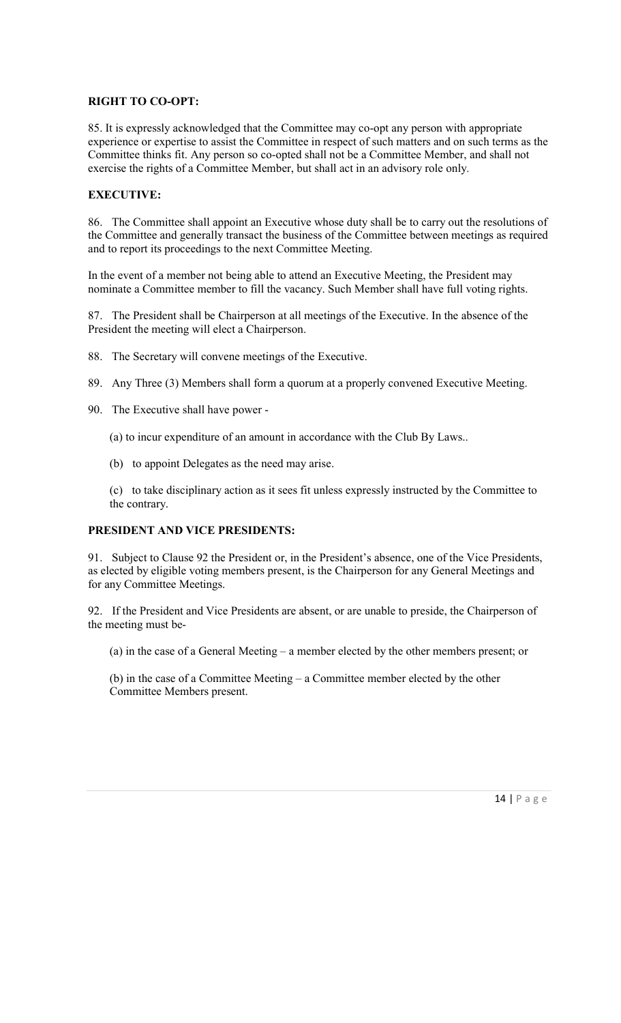## RIGHT TO CO-OPT:

85. It is expressly acknowledged that the Committee may co-opt any person with appropriate experience or expertise to assist the Committee in respect of such matters and on such terms as the Committee thinks fit. Any person so co-opted shall not be a Committee Member, and shall not exercise the rights of a Committee Member, but shall act in an advisory role only.

## EXECUTIVE:

86. The Committee shall appoint an Executive whose duty shall be to carry out the resolutions of the Committee and generally transact the business of the Committee between meetings as required and to report its proceedings to the next Committee Meeting.

In the event of a member not being able to attend an Executive Meeting, the President may nominate a Committee member to fill the vacancy. Such Member shall have full voting rights.

87. The President shall be Chairperson at all meetings of the Executive. In the absence of the President the meeting will elect a Chairperson.

- 88. The Secretary will convene meetings of the Executive.
- 89. Any Three (3) Members shall form a quorum at a properly convened Executive Meeting.
- 90. The Executive shall have power
	- (a) to incur expenditure of an amount in accordance with the Club By Laws..
	- (b) to appoint Delegates as the need may arise.

(c) to take disciplinary action as it sees fit unless expressly instructed by the Committee to the contrary.

## PRESIDENT AND VICE PRESIDENTS:

91. Subject to Clause 92 the President or, in the President's absence, one of the Vice Presidents, as elected by eligible voting members present, is the Chairperson for any General Meetings and for any Committee Meetings.

92. If the President and Vice Presidents are absent, or are unable to preside, the Chairperson of the meeting must be-

(a) in the case of a General Meeting – a member elected by the other members present; or

(b) in the case of a Committee Meeting – a Committee member elected by the other Committee Members present.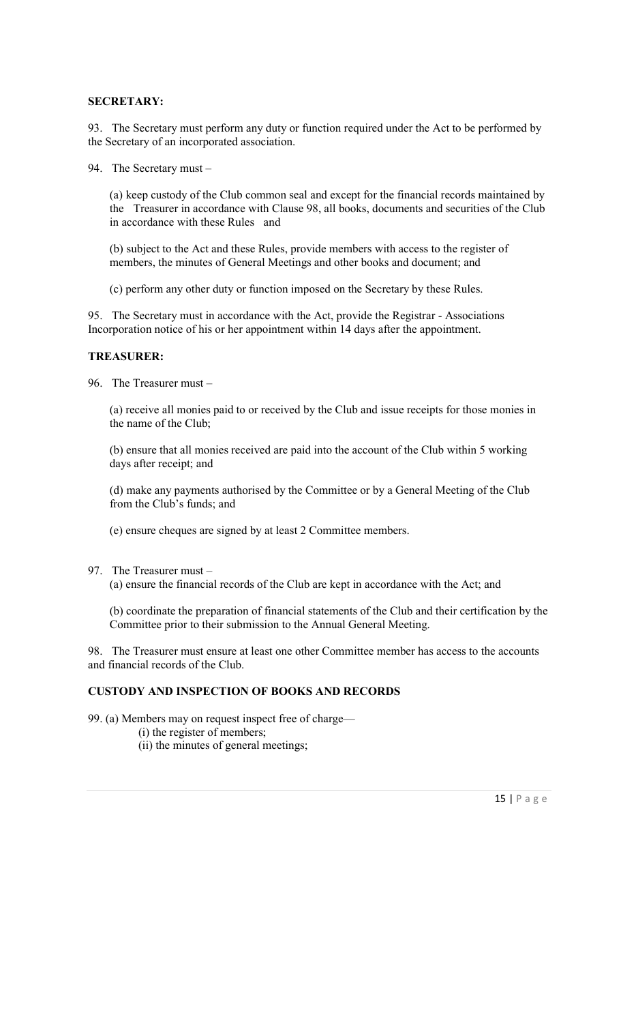#### SECRETARY:

93. The Secretary must perform any duty or function required under the Act to be performed by the Secretary of an incorporated association.

94. The Secretary must –

(a) keep custody of the Club common seal and except for the financial records maintained by the Treasurer in accordance with Clause 98, all books, documents and securities of the Club in accordance with these Rules and

(b) subject to the Act and these Rules, provide members with access to the register of members, the minutes of General Meetings and other books and document; and

(c) perform any other duty or function imposed on the Secretary by these Rules.

95. The Secretary must in accordance with the Act, provide the Registrar - Associations Incorporation notice of his or her appointment within 14 days after the appointment.

#### TREASURER:

96. The Treasurer must –

(a) receive all monies paid to or received by the Club and issue receipts for those monies in the name of the Club;

(b) ensure that all monies received are paid into the account of the Club within 5 working days after receipt; and

(d) make any payments authorised by the Committee or by a General Meeting of the Club from the Club's funds; and

(e) ensure cheques are signed by at least 2 Committee members.

97. The Treasurer must –

(a) ensure the financial records of the Club are kept in accordance with the Act; and

(b) coordinate the preparation of financial statements of the Club and their certification by the Committee prior to their submission to the Annual General Meeting.

98. The Treasurer must ensure at least one other Committee member has access to the accounts and financial records of the Club.

## CUSTODY AND INSPECTION OF BOOKS AND RECORDS

99. (a) Members may on request inspect free of charge—

- (i) the register of members;
- (ii) the minutes of general meetings;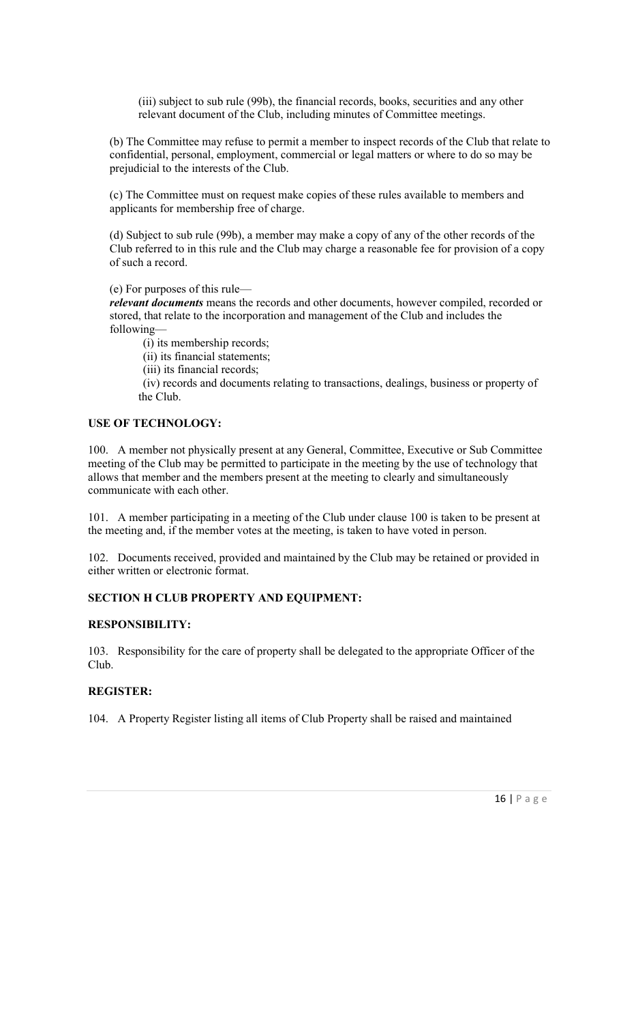(iii) subject to sub rule (99b), the financial records, books, securities and any other relevant document of the Club, including minutes of Committee meetings.

(b) The Committee may refuse to permit a member to inspect records of the Club that relate to confidential, personal, employment, commercial or legal matters or where to do so may be prejudicial to the interests of the Club.

(c) The Committee must on request make copies of these rules available to members and applicants for membership free of charge.

(d) Subject to sub rule (99b), a member may make a copy of any of the other records of the Club referred to in this rule and the Club may charge a reasonable fee for provision of a copy of such a record.

(e) For purposes of this rule—

relevant documents means the records and other documents, however compiled, recorded or stored, that relate to the incorporation and management of the Club and includes the following—

(i) its membership records;

(ii) its financial statements;

(iii) its financial records;

 (iv) records and documents relating to transactions, dealings, business or property of the Club.

## USE OF TECHNOLOGY:

100. A member not physically present at any General, Committee, Executive or Sub Committee meeting of the Club may be permitted to participate in the meeting by the use of technology that allows that member and the members present at the meeting to clearly and simultaneously communicate with each other.

101. A member participating in a meeting of the Club under clause 100 is taken to be present at the meeting and, if the member votes at the meeting, is taken to have voted in person.

102. Documents received, provided and maintained by the Club may be retained or provided in either written or electronic format.

## SECTION H CLUB PROPERTY AND EQUIPMENT:

#### RESPONSIBILITY:

103. Responsibility for the care of property shall be delegated to the appropriate Officer of the Club.

## REGISTER:

104. A Property Register listing all items of Club Property shall be raised and maintained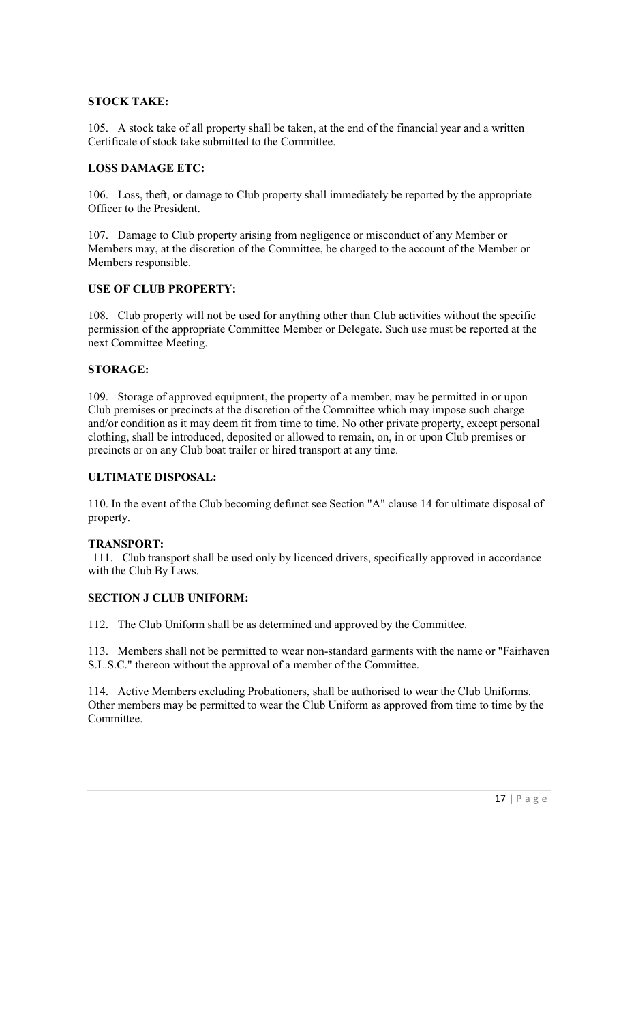## STOCK TAKE:

105. A stock take of all property shall be taken, at the end of the financial year and a written Certificate of stock take submitted to the Committee.

### LOSS DAMAGE ETC:

106. Loss, theft, or damage to Club property shall immediately be reported by the appropriate Officer to the President.

107. Damage to Club property arising from negligence or misconduct of any Member or Members may, at the discretion of the Committee, be charged to the account of the Member or Members responsible.

### USE OF CLUB PROPERTY:

108. Club property will not be used for anything other than Club activities without the specific permission of the appropriate Committee Member or Delegate. Such use must be reported at the next Committee Meeting.

### STORAGE:

109. Storage of approved equipment, the property of a member, may be permitted in or upon Club premises or precincts at the discretion of the Committee which may impose such charge and/or condition as it may deem fit from time to time. No other private property, except personal clothing, shall be introduced, deposited or allowed to remain, on, in or upon Club premises or precincts or on any Club boat trailer or hired transport at any time.

### ULTIMATE DISPOSAL:

110. In the event of the Club becoming defunct see Section "A" clause 14 for ultimate disposal of property.

#### TRANSPORT:

 111. Club transport shall be used only by licenced drivers, specifically approved in accordance with the Club By Laws.

### SECTION J CLUB UNIFORM:

112. The Club Uniform shall be as determined and approved by the Committee.

113. Members shall not be permitted to wear non-standard garments with the name or "Fairhaven S.L.S.C." thereon without the approval of a member of the Committee.

114. Active Members excluding Probationers, shall be authorised to wear the Club Uniforms. Other members may be permitted to wear the Club Uniform as approved from time to time by the Committee.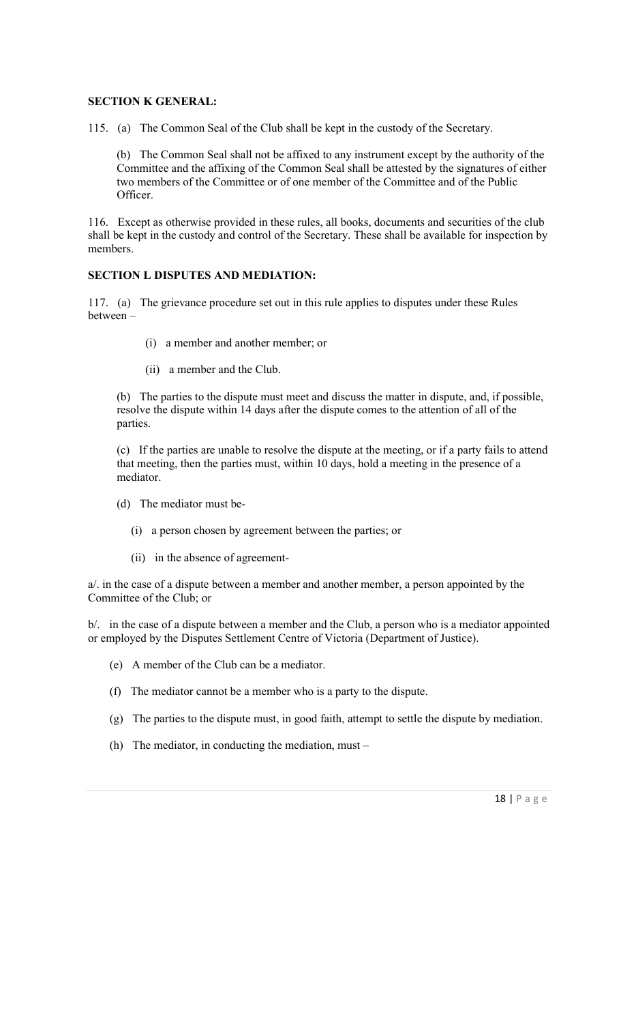### SECTION K GENERAL:

115. (a) The Common Seal of the Club shall be kept in the custody of the Secretary.

(b) The Common Seal shall not be affixed to any instrument except by the authority of the Committee and the affixing of the Common Seal shall be attested by the signatures of either two members of the Committee or of one member of the Committee and of the Public Officer.

116. Except as otherwise provided in these rules, all books, documents and securities of the club shall be kept in the custody and control of the Secretary. These shall be available for inspection by members.

## SECTION L DISPUTES AND MEDIATION:

117. (a) The grievance procedure set out in this rule applies to disputes under these Rules between –

- (i) a member and another member; or
- (ii) a member and the Club.

(b) The parties to the dispute must meet and discuss the matter in dispute, and, if possible, resolve the dispute within 14 days after the dispute comes to the attention of all of the parties.

(c) If the parties are unable to resolve the dispute at the meeting, or if a party fails to attend that meeting, then the parties must, within 10 days, hold a meeting in the presence of a mediator.

- (d) The mediator must be-
	- (i) a person chosen by agreement between the parties; or
	- (ii) in the absence of agreement-

a/. in the case of a dispute between a member and another member, a person appointed by the Committee of the Club; or

b/. in the case of a dispute between a member and the Club, a person who is a mediator appointed or employed by the Disputes Settlement Centre of Victoria (Department of Justice).

- (e) A member of the Club can be a mediator.
- (f) The mediator cannot be a member who is a party to the dispute.
- (g) The parties to the dispute must, in good faith, attempt to settle the dispute by mediation.
- (h) The mediator, in conducting the mediation, must –